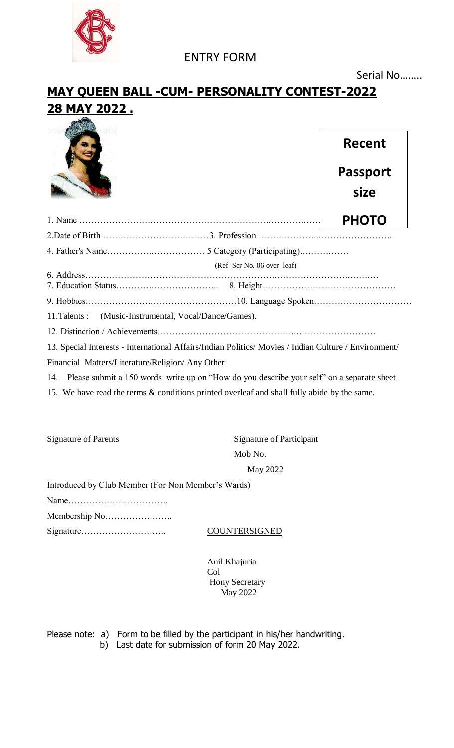

### **MAY QUEEN BALL -CUM- PERSONALITY CONTEST-2022 28 MAY 2022 .**



# **Recent Passport size**

|                                                        | (Ref Ser No. 06 over leaf) |  |
|--------------------------------------------------------|----------------------------|--|
|                                                        |                            |  |
|                                                        |                            |  |
| 11. Talents : (Music-Instrumental, Vocal/Dance/Games). |                            |  |
|                                                        |                            |  |

13. Special Interests - International Affairs/Indian Politics/ Movies / Indian Culture / Environment/

Financial Matters/Literature/Religion/ Any Other

14. Please submit a 150 words write up on "How do you describe your self" on a separate sheet

15. We have read the terms & conditions printed overleaf and shall fully abide by the same.

Signature of Parents Signature of Participant Mob No. May 2022

Introduced by Club Member (For Non Member's Wards)

Name…………………………….

Membership No…………………..

Signature……………………….. COUNTERSIGNED

Anil Khajuria Col Hony Secretary May 2022

Please note: a) Form to be filled by the participant in his/her handwriting.

b) Last date for submission of form 20 May 2022.